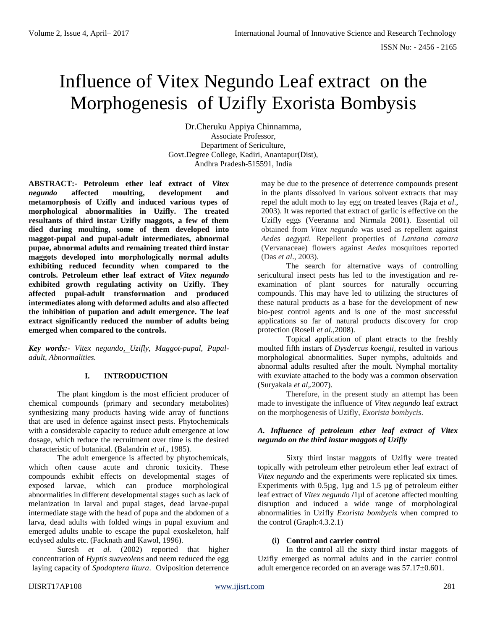# Influence of Vitex Negundo Leaf extract on the Morphogenesis of Uzifly Exorista Bombysis

Dr.Cheruku Appiya Chinnamma, Associate Professor, Department of Sericulture, Govt.Degree College, Kadiri, Anantapur(Dist), Andhra Pradesh-515591, India

**ABSTRACT:- Petroleum ether leaf extract of** *Vitex negundo* **affected moulting, development and metamorphosis of Uzifly and induced various types of morphological abnormalities in Uzifly. The treated resultants of third instar Uzifly maggots, a few of them died during moulting, some of them developed into maggot-pupal and pupal-adult intermediates, abnormal pupae, abnormal adults and remaining treated third instar maggots developed into morphologically normal adults exhibiting reduced fecundity when compared to the controls. Petroleum ether leaf extract of** *Vitex negundo* **exhibited growth regulating activity on Uzifly. They affected pupal-adult transformation and produced intermediates along with deformed adults and also affected the inhibition of pupation and adult emergence. The leaf extract significantly reduced the number of adults being emerged when compared to the controls.** 

*Key words:- Vitex negundo, Uzifly, Maggot-pupal, Pupaladult, Abnormalities.*

# **I. INTRODUCTION**

The plant kingdom is the most efficient producer of chemical compounds (primary and secondary metabolites) synthesizing many products having wide array of functions that are used in defence against insect pests. Phytochemicals with a considerable capacity to reduce adult emergence at low dosage, which reduce the recruitment over time is the desired characteristic of botanical. (Balandrin *et al*., 1985).

The adult emergence is affected by phytochemicals, which often cause acute and chronic toxicity. These compounds exhibit effects on developmental stages of exposed larvae, which can produce morphological abnormalities in different developmental stages such as lack of melanization in larval and pupal stages, dead larvae-pupal intermediate stage with the head of pupa and the abdomen of a larva, dead adults with folded wings in pupal exuvium and emerged adults unable to escape the pupal exoskeleton, half ecdysed adults etc. (Facknath and Kawol, 1996).

Suresh *et al.* (2002) reported that higher concentration of *Hyptis suaveolens* and neem reduced the egg laying capacity of *Spodoptera litura*. Oviposition deterrence

may be due to the presence of deterrence compounds present in the plants dissolved in various solvent extracts that may repel the adult moth to lay egg on treated leaves (Raja *et al*., 2003). It was reported that extract of garlic is effective on the Uzifly eggs (Veeranna and Nirmala 2001). Essential oil obtained from *Vitex negundo* was used as repellent against *Aedes aegypti.* Repellent properties of *Lantana camara*  (Vervanaceae) flowers against *Aedes* mosquitoes reported (Das *et al*., 2003).

The search for alternative ways of controlling sericultural insect pests has led to the investigation and reexamination of plant sources for naturally occurring compounds. This may have led to utilizing the structures of these natural products as a base for the development of new bio-pest control agents and is one of the most successful applications so far of natural products discovery for crop protection (Rosell *et al.,*2008).

Topical application of plant etracts to the freshly moulted fifth instars of *Dysdercus koengii*, resulted in various morphological abnormalities. Super nymphs, adultoids and abnormal adults resulted after the moult. Nymphal mortality with exuviate attached to the body was a common observation (Suryakala *et al,.*2007).

Therefore, in the present study an attempt has been made to investigate the influence of *Vitex negundo* leaf extract on the morphogenesis of Uzifly, *Exorista bombycis*.

# *A. Influence of petroleum ether leaf extract of Vitex negundo on the third instar maggots of Uzifly*

Sixty third instar maggots of Uzifly were treated topically with petroleum ether petroleum ether leaf extract of *Vitex negundo* and the experiments were replicated six times. Experiments with 0.5µg, 1µg and 1.5 µg of petroleum either leaf extract of *Vitex negundo* **/**1µl of acetone affected moulting disruption and induced a wide range of morphological abnormalities in Uzifly *Exorista bombycis* when compred to the control (Graph:4.3.2.1)

# **(i) Control and carrier control**

In the control all the sixty third instar maggots of Uzifly emerged as normal adults and in the carrier control adult emergence recorded on an average was 57.17±0.601.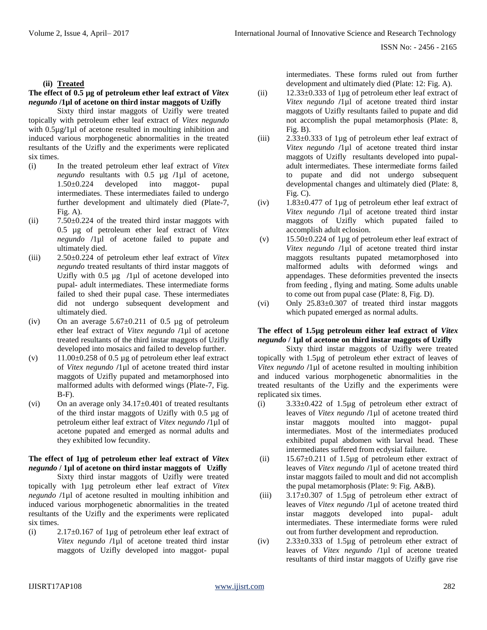## **(ii) Treated**

## **The effect of 0.5 µg of petroleum ether leaf extract of** *Vitex negundo* **/1µl of acetone on third instar maggots of Uzifly**

Sixty third instar maggots of Uzifly were treated topically with petroleum ether leaf extract of *Vitex negundo*  with 0.5µg**/**1µl of acetone resulted in moulting inhibition and induced various morphogenetic abnormalities in the treated resultants of the Uzifly and the experiments were replicated six times.

- (i) In the treated petroleum ether leaf extract of *Vitex negundo* resultants with 0.5 µg **/**1µl of acetone, 1.50±0.224 developed into maggot- pupal intermediates. These intermediates failed to undergo further development and ultimately died (Plate-7,  $Fig. A)$ .
- $(iii)$  7.50 $\pm$ 0.224 of the treated third instar maggots with 0.5 µg of petroleum ether leaf extract of *Vitex negundo* **/**1µl of acetone failed to pupate and ultimately died.
- (iii) 2.50±0.224 of petroleum ether leaf extract of *Vitex negundo* treated resultants of third instar maggots of Uzifly with 0.5 µg **/**1µl of acetone developed into pupal- adult intermediates. These intermediate forms failed to shed their pupal case. These intermediates did not undergo subsequent development and ultimately died.
- (iv) On an average  $5.67 \pm 0.211$  of 0.5 µg of petroleum ether leaf extract of *Vitex negundo* **/**1µl of acetone treated resultants of the third instar maggots of Uzifly developed into mosaics and failed to develop further.
- (v)  $11.00\pm0.258$  of 0.5 µg of petroleum ether leaf extract of *Vitex negundo* **/**1µl of acetone treated third instar maggots of Uzifly pupated and metamorphosed into malformed adults with deformed wings (Plate-7, Fig. B-F).
- (vi) On an average only  $34.17 \pm 0.401$  of treated resultants of the third instar maggots of Uzifly with 0.5 µg of petroleum either leaf extract of *Vitex negundo* **/**1µl of acetone pupated and emerged as normal adults and they exhibited low fecundity.

#### **The effect of 1µg of petroleum ether leaf extract of** *Vitex negundo* **/ 1µl of acetone on third instar maggots of Uzifly**

Sixty third instar maggots of Uzifly were treated topically with 1µg petroleum ether leaf extract of *Vitex negundo* **/**1µl of acetone resulted in moulting inhibition and induced various morphogenetic abnormalities in the treated resultants of the Uzifly and the experiments were replicated six times.

(i) 2.17 $\pm$ 0.167 of 1µg of petroleum ether leaf extract of *Vitex negundo* **/**1µl of acetone treated third instar maggots of Uzifly developed into maggot- pupal intermediates. These forms ruled out from further development and ultimately died (Plate: 12: Fig. A).

- (ii) 12.33±0.333 of 1µg of petroleum ether leaf extract of *Vitex negundo* **/**1µl of acetone treated third instar maggots of Uzifly resultants failed to pupate and did not accomplish the pupal metamorphosis (Plate: 8, Fig. B).
- (iii)  $2.33\pm0.333$  of 1 µg of petroleum ether leaf extract of *Vitex negundo* **/**1µl of acetone treated third instar maggots of Uzifly resultants developed into pupaladult intermediates. These intermediate forms failed to pupate and did not undergo subsequent developmental changes and ultimately died (Plate: 8, Fig. C).
- (iv)  $1.83\pm0.477$  of 1 µg of petroleum ether leaf extract of *Vitex negundo* **/**1µl of acetone treated third instar maggots of Uzifly which pupated failed to accomplish adult eclosion.
- (v) 15.50±0.224 of 1µg of petroleum ether leaf extract of *Vitex negundo* **/**1µl of acetone treated third instar maggots resultants pupated metamorphosed into malformed adults with deformed wings and appendages. These deformities prevented the insects from feeding , flying and mating. Some adults unable to come out from pupal case (Plate: 8, Fig. D).
- (vi) Only  $25.83 \pm 0.307$  of treated third instar maggots which pupated emerged as normal adults.

#### **The effect of 1.5µg petroleum either leaf extract of** *Vitex negundo* **/ 1µl of acetone on third instar maggots of Uzifly**

Sixty third instar maggots of Uzifly were treated topically with 1.5µg of petroleum ether extract of leaves of *Vitex negundo* **/**1µl of acetone resulted in moulting inhibition and induced various morphogenetic abnormalities in the treated resultants of the Uzifly and the experiments were replicated six times.

- (i)  $3.33\pm0.422$  of 1.5 $\mu$ g of petroleum ether extract of leaves of *Vitex negundo* **/**1µl of acetone treated third instar maggots moulted into maggot- pupal intermediates. Most of the intermediates produced exhibited pupal abdomen with larval head. These intermediates suffered from ecdysial failure.
- (ii)  $15.67 \pm 0.211$  of 1.5 µg of petroleum ether extract of leaves of *Vitex negundo* **/**1µl of acetone treated third instar maggots failed to moult and did not accomplish the pupal metamorphosis (Plate: 9: Fig. A&B).
- (iii)  $3.17 \pm 0.307$  of 1.5 µg of petroleum ether extract of leaves of *Vitex negundo* **/**1µl of acetone treated third instar maggots developed into pupal- adult intermediates. These intermediate forms were ruled out from further development and reproduction.
- (iv)  $2.33\pm0.333$  of 1.5µg of petroleum ether extract of leaves of *Vitex negundo* **/**1µl of acetone treated resultants of third instar maggots of Uzifly gave rise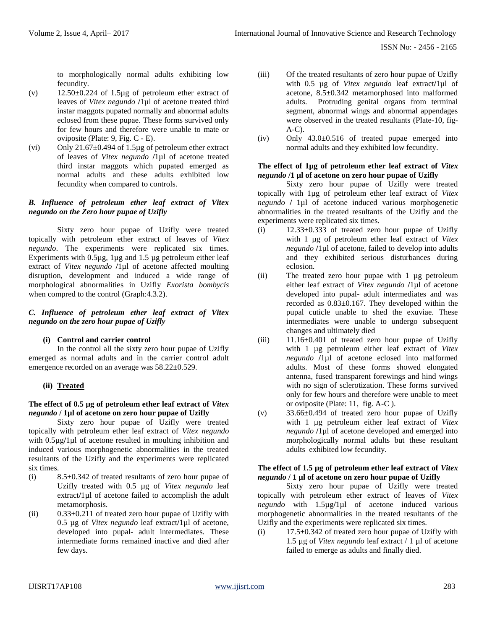to morphologically normal adults exhibiting low fecundity.

- (v)  $12.50\pm0.224$  of 1.5 $\mu$ g of petroleum ether extract of leaves of *Vitex negundo* **/**1µl of acetone treated third instar maggots pupated normally and abnormal adults eclosed from these pupae. These forms survived only for few hours and therefore were unable to mate or oviposite (Plate: 9, Fig. C - E).
- (vi) Only 21.67±0.494 of 1.5µg of petroleum ether extract of leaves of *Vitex negundo* **/**1µl of acetone treated third instar maggots which pupated emerged as normal adults and these adults exhibited low fecundity when compared to controls.

# *B. Influence of petroleum ether leaf extract of Vitex negundo on the Zero hour pupae of Uzifly*

Sixty zero hour pupae of Uzifly were treated topically with petroleum ether extract of leaves of *Vitex negundo*. The experiments were replicated six times. Experiments with 0.5µg, 1µg and 1.5 µg petroleum either leaf extract of *Vitex negundo* **/**1µl of acetone affected moulting disruption, development and induced a wide range of morphological abnormalities in Uzifly *Exorista bombycis*  when compred to the control (Graph:4.3.2).

# *C. Influence of petroleum ether leaf extract of Vitex negundo on the zero hour pupae of Uzifly*

# **(i) Control and carrier control**

In the control all the sixty zero hour pupae of Uzifly emerged as normal adults and in the carrier control adult emergence recorded on an average was 58.22±0.529.

# **(ii) Treated**

# **The effect of 0.5 µg of petroleum ether leaf extract of** *Vitex negundo* **/ 1µl of acetone on zero hour pupae of Uzifly**

Sixty zero hour pupae of Uzifly were treated topically with petroleum ether leaf extract of *Vitex negundo*  with 0.5µg**/**1µl of acetone resulted in moulting inhibition and induced various morphogenetic abnormalities in the treated resultants of the Uzifly and the experiments were replicated six times.

- (i) 8.5±0.342 of treated resultants of zero hour pupae of Uzifly treated with 0.5 µg of *Vitex negundo* leaf extract**/**1µl of acetone failed to accomplish the adult metamorphosis.
- (ii)  $0.33\pm0.211$  of treated zero hour pupae of Uzifly with 0.5 µg of *Vitex negundo* leaf extract**/**1µl of acetone, developed into pupal- adult intermediates. These intermediate forms remained inactive and died after few days.
- (iii) Of the treated resultants of zero hour pupae of Uzifly with 0.5 µg of *Vitex negundo* leaf extract**/**1µl of acetone, 8.5±0.342 metamorphosed into malformed adults. Protruding genital organs from terminal segment, abnormal wings and abnormal appendages were observed in the treated resultants (Plate-10, fig- $A-C$ ).
- $(iv)$  Only 43.0 $\pm$ 0.516 of treated pupae emerged into normal adults and they exhibited low fecundity.

# **The effect of 1µg of petroleum ether leaf extract of** *Vitex negundo* **/1 µl of acetone on zero hour pupae of Uzifly**

Sixty zero hour pupae of Uzifly were treated topically with 1µg of petroleum ether leaf extract of *Vitex negundo* **/** 1µl of acetone induced various morphogenetic abnormalities in the treated resultants of the Uzifly and the experiments were replicated six times.

- (i)  $12.33\pm0.333$  of treated zero hour pupae of Uzifly with 1 µg of petroleum ether leaf extract of *Vitex negundo* **/**1µl of acetone, failed to develop into adults and they exhibited serious disturbances during eclosion.
- (ii) The treated zero hour pupae with 1 µg petroleum either leaf extract of *Vitex negundo* **/**1µl of acetone developed into pupal- adult intermediates and was recorded as 0.83±0.167. They developed within the pupal cuticle unable to shed the exuviae. These intermediates were unable to undergo subsequent changes and ultimately died
- $(iii)$  11.16 $\pm$ 0.401 of treated zero hour pupae of Uzifly with 1 µg petroleum either leaf extract of *Vitex negundo* **/**1µl of acetone eclosed into malformed adults. Most of these forms showed elongated antenna, fused transparent forewings and hind wings with no sign of sclerotization. These forms survived only for few hours and therefore were unable to meet or oviposite (Plate: 11, fig. A-C ).
- (v) 33.66±0.494 of treated zero hour pupae of Uzifly with 1 µg petroleum either leaf extract of *Vitex negundo* **/**1µl of acetone developed and emerged into morphologically normal adults but these resultant adults exhibited low fecundity.

# **The effect of 1.5 µg of petroleum ether leaf extract of** *Vitex negundo* **/ 1 µl of acetone on zero hour pupae of Uzifly**

Sixty zero hour pupae of Uzifly were treated topically with petroleum ether extract of leaves of *Vitex negundo* with 1.5µg**/**1µl of acetone induced various morphogenetic abnormalities in the treated resultants of the Uzifly and the experiments were replicated six times.

(i) 17.5 $\pm$ 0.342 of treated zero hour pupae of Uzifly with 1.5 µg of *Vitex negundo* leaf extract / 1 µl of acetone failed to emerge as adults and finally died.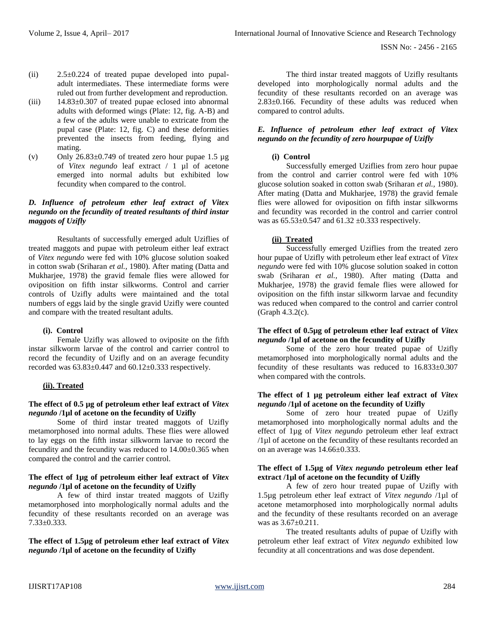- (ii) 2.5±0.224 of treated pupae developed into pupaladult intermediates. These intermediate forms were ruled out from further development and reproduction.
- (iii) 14.83±0.307 of treated pupae eclosed into abnormal adults with deformed wings (Plate: 12, fig. A-B) and a few of the adults were unable to extricate from the pupal case (Plate: 12, fig. C) and these deformities prevented the insects from feeding, flying and mating.
- (v) Only  $26.83 \pm 0.749$  of treated zero hour pupae 1.5  $\mu$ g of *Vitex negundo* leaf extract / 1 µl of acetone emerged into normal adults but exhibited low fecundity when compared to the control.

# *D. Influence of petroleum ether leaf extract of Vitex negundo on the fecundity of treated resultants of third instar maggots of Uzifly*

Resultants of successfully emerged adult Uziflies of treated maggots and pupae with petroleum either leaf extract of *Vitex negundo* were fed with 10% glucose solution soaked in cotton swab (Sriharan *et al.,* 1980). After mating (Datta and Mukharjee, 1978) the gravid female flies were allowed for oviposition on fifth instar silkworms. Control and carrier controls of Uzifly adults were maintained and the total numbers of eggs laid by the single gravid Uzifly were counted and compare with the treated resultant adults.

# **(i). Control**

Female Uzifly was allowed to oviposite on the fifth instar silkworm larvae of the control and carrier control to record the fecundity of Uzifly and on an average fecundity recorded was  $63.83\pm0.447$  and  $60.12\pm0.333$  respectively.

# **(ii). Treated**

# **The effect of 0.5 µg of petroleum ether leaf extract of** *Vitex negundo* **/1µl of acetone on the fecundity of Uzifly**

Some of third instar treated maggots of Uzifly metamorphosed into normal adults. These flies were allowed to lay eggs on the fifth instar silkworm larvae to record the fecundity and the fecundity was reduced to 14.00±0.365 when compared the control and the carrier control.

#### **The effect of 1µg of petroleum either leaf extract of** *Vitex negundo* **/1µl of acetone on the fecundity of Uzifly**

A few of third instar treated maggots of Uzifly metamorphosed into morphologically normal adults and the fecundity of these resultants recorded on an average was 7.33±0.333.

**The effect of 1.5µg of petroleum ether leaf extract of** *Vitex negundo* **/1µl of acetone on the fecundity of Uzifly**

The third instar treated maggots of Uzifly resultants developed into morphologically normal adults and the fecundity of these resultants recorded on an average was 2.83±0.166. Fecundity of these adults was reduced when compared to control adults.

# *E. Influence of petroleum ether leaf extract of Vitex negundo on the fecundity of zero hourpupae of Uzifly*

# **(i) Control**

Successfully emerged Uziflies from zero hour pupae from the control and carrier control were fed with 10% glucose solution soaked in cotton swab (Sriharan *et al.,* 1980). After mating (Datta and Mukharjee, 1978) the gravid female flies were allowed for oviposition on fifth instar silkworms and fecundity was recorded in the control and carrier control was as  $65.53 \pm 0.547$  and  $61.32 \pm 0.333$  respectively.

# **(ii) Treated**

Successfully emerged Uziflies from the treated zero hour pupae of Uzifly with petroleum ether leaf extract of *Vitex negundo* were fed with 10% glucose solution soaked in cotton swab (Sriharan *et al.,* 1980). After mating (Datta and Mukharjee, 1978) the gravid female flies were allowed for oviposition on the fifth instar silkworm larvae and fecundity was reduced when compared to the control and carrier control (Graph 4.3.2(c).

#### **The effect of 0.5µg of petroleum ether leaf extract of** *Vitex negundo* **/1µl of acetone on the fecundity of Uzifly**

Some of the zero hour treated pupae of Uzifly metamorphosed into morphologically normal adults and the fecundity of these resultants was reduced to 16.833±0.307 when compared with the controls.

#### **The effect of 1 µg petroleum either leaf extract of** *Vitex negundo* **/1µl of acetone on the fecundity of Uzifly**

Some of zero hour treated pupae of Uzifly metamorphosed into morphologically normal adults and the effect of 1µg of *Vitex negundo* petroleum ether leaf extract /1µl of acetone on the fecundity of these resultants recorded an on an average was 14.66±0.333.

# **The effect of 1.5µg of** *Vitex negundo* **petroleum ether leaf extract /1µl of acetone on the fecundity of Uzifly**

A few of zero hour treated pupae of Uzifly with 1.5µg petroleum ether leaf extract of *Vitex negundo* /1µl of acetone metamorphosed into morphologically normal adults and the fecundity of these resultants recorded on an average was as 3.67±0.211.

The treated resultants adults of pupae of Uzifly with petroleum ether leaf extract of *Vitex negundo* exhibited low fecundity at all concentrations and was dose dependent.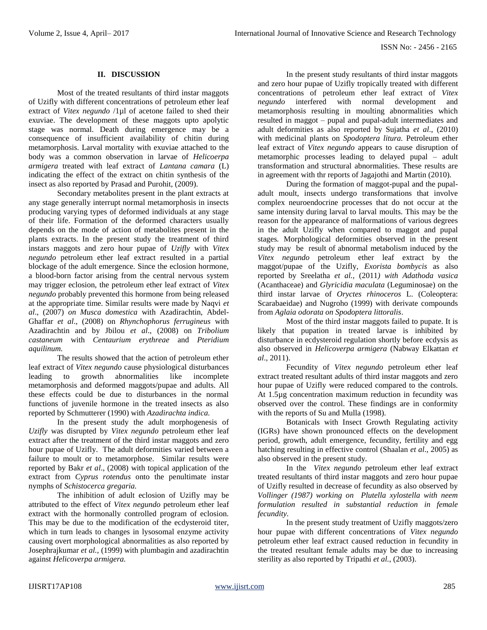# **II. DISCUSSION**

Most of the treated resultants of third instar maggots of Uzifly with different concentrations of petroleum ether leaf extract of *Vitex negundo* /1µl of acetone failed to shed their exuviae. The development of these maggots upto apolytic stage was normal. Death during emergence may be a consequence of insufficient availability of chitin during metamorphosis. Larval mortality with exuviae attached to the body was a common observation in larvae of *Helicoerpa armigera* treated with leaf extract of *Lantana camara* (L) indicating the effect of the extract on chitin synthesis of the insect as also reported by Prasad and Purohit, (2009).

Secondary metabolites present in the plant extracts at any stage generally interrupt normal metamorphosis in insects producing varying types of deformed individuals at any stage of their life. Formation of the deformed characters usually depends on the mode of action of metabolites present in the plants extracts. In the present study the treatment of third instars maggots and zero hour pupae of *Uzifly* with *Vitex negundo* petroleum ether leaf extract resulted in a partial blockage of the adult emergence. Since the eclosion hormone, a blood-born factor arising from the central nervous system may trigger eclosion, the petroleum ether leaf extract of *Vitex negundo* probably prevented this hormone from being released at the appropriate time. Similar results were made by Naqvi *et al*., (2007) *on Musca domestica* with Azadirachtin, Abdel-Ghaffar *et al*., (2008) on *Rhynchophorus ferrugineus* with Azadirachtin and by Jbilou *et al*., (2008) on *Tribolium castaneum* with *Centaurium erythreae* and *Pteridium aquilinum.*

The results showed that the action of petroleum ether leaf extract of *Vitex negundo* cause physiological disturbances leading to growth abnormalities like incomplete metamorphosis and deformed maggots/pupae and adults. All these effects could be due to disturbances in the normal functions of juvenile hormone in the treated insects as also reported by Schmutterer (1990) with *Azadirachta indica.*

In the present study the adult morphogenesis of *Uzifly* was disrupted by *Vitex negundo* petroleum ether leaf extract after the treatment of the third instar maggots and zero hour pupae of Uzifly. The adult deformities varied between a failure to moult or to metamorphose. Similar results were reported by Bakr *et al*., (2008) with topical application of the extract from *Cyprus rotendus* onto the penultimate instar nymphs of *Schistocerca gregaria.*

The inhibition of adult eclosion of Uzifly may be attributed to the effect of *Vitex negundo* petroleum ether leaf extract with the hormonally controlled program of eclosion. This may be due to the modification of the ecdysteroid titer, which in turn leads to changes in lysosomal enzyme activity causing overt morphological abnormalities as also reported by Josephrajkumar *et al.*, (1999) with plumbagin and azadirachtin against *Helicoverpa armigera.*

In the present study resultants of third instar maggots and zero hour pupae of Uzifly tropically treated with different concentrations of petroleum ether leaf extract of *Vitex negundo* interfered with normal development and metamorphosis resulting in moulting abnormalities which resulted in maggot – pupal and pupal-adult intermediates and adult deformities as also reported by Sujatha *et al*., (2010) with medicinal plants on *Spodoptera litura.* Petroleum ether leaf extract of *Vitex negundo* appears to cause disruption of metamorphic processes leading to delayed pupal – adult transformation and structural abnormalities. These results are in agreement with thr reports of Jagajothi and Martin (2010).

During the formation of maggot-pupal and the pupaladult moult, insects undergo transformations that involve complex neuroendocrine processes that do not occur at the same intensity during larval to larval moults. This may be the reason for the appearance of malformations of various degrees in the adult Uzifly when compared to maggot and pupal stages*.* Morphological deformities observed in the present study may be result of abnormal metabolism induced by the *Vitex negundo* petroleum ether leaf extract by the maggot/pupae of the Uzifly, *Exorista bombycis* as also reported by Sreelatha *et al.,* (2011*) with Adathoda vasica* (Acanthaceae) and *Glyricidia maculata* (Leguminosae) on the third instar larvae of *Oryctes rhinoceros* L. (Coleoptera: Scarabaeidae) and Nugroho (1999) with derivate compounds from *Aglaia odorata on Spodoptera littoralis*.

Most of the third instar maggots failed to pupate. It is likely that pupation in treated larvae is inhibited by disturbance in ecdysteroid regulation shortly before ecdysis as also observed in *Helicoverpa armigera* (Nabway Elkattan *et al*., 2011).

Fecundity of *Vitex negundo* petroleum ether leaf extract treated resultant adults of third instar maggots and zero hour pupae of Uzifly were reduced compared to the controls. At 1.5µg concentration maximum reduction in fecundity was observed over the control. These findings are in conformity with the reports of Su and Mulla (1998).

Botanicals with Insect Growth Regulating activity (IGRs) have shown pronounced effects on the development period, growth, adult emergence, fecundity, fertility and egg hatching resulting in effective control (Shaalan *et al*., 2005) as also observed in the present study.

In the *Vitex negundo* petroleum ether leaf extract treated resultants of third instar maggots and zero hour pupae of Uzifly resulted in decrease of fecundity as also observed by *Vollinger (1987) working on Plutella xylostella with neem formulation resulted in substantial reduction in female fecundity.*

In the present study treatment of Uzifly maggots/zero hour pupae with different concentrations of *Vitex negundo*  petroleum ether leaf extract caused reduction in fecundity in the treated resultant female adults may be due to increasing sterility as also reported by Tripathi *et al.*, (2003).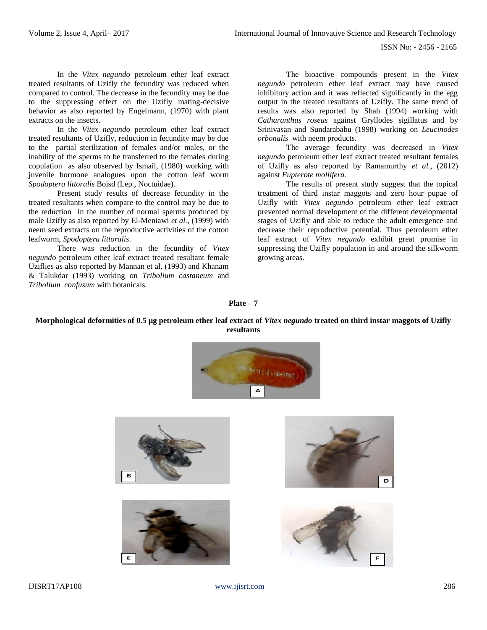In the *Vitex negundo* petroleum ether leaf extract treated resultants of Uzifly the fecundity was reduced when compared to control. The decrease in the fecundity may be due to the suppressing effect on the Uzifly mating-decisive behavior as also reported by Engelmann, (1970) with plant extracts on the insects.

In the *Vitex negundo* petroleum ether leaf extract treated resultants of Uzifly, reduction in fecundity may be due to the partial sterilization of females and/or males, or the inability of the sperms to be transferred to the females during copulation as also observed by Ismail, (1980) working with juvenile hormone analogues upon the cotton leaf worm *Spodoptera littoralis* Boisd (Lep., Noctuidae).

Present study results of decrease fecundity in the treated resultants when compare to the control may be due to the reduction in the number of normal sperms produced by male Uzifly as also reported by El-Meniawi *et al.*, (1999) with neem seed extracts on the reproductive activities of the cotton leafworm, *Spodoptera littoralis*.

There was reduction in the fecundity of *Vitex negundo* petroleum ether leaf extract treated resultant female Uziflies as also reported by Mannan et al. (1993) and Khanam & Talukdar (1993) working on *Tribolium castaneum* and *Tribolium confusum* with botanicals.

The bioactive compounds present in the *Vitex negundo* petroleum ether leaf extract may have caused inhibitory action and it was reflected significantly in the egg output in the treated resultants of Uzifly. The same trend of results was also reported by Shah (1994) working with *Catharanthus roseus* against Gryllodes sigillatus and by Srinivasan and Sundarababu (1998) working on *Leucinodes orbonalis* with neem products.

The average fecundity was decreased in *Vitex negundo* petroleum ether leaf extract treated resultant females of Uzifly as also reported by Ramamurthy *et al.,* (2012) against *Eupterote mollifera.*

The results of present study suggest that the topical treatment of third instar maggots and zero hour pupae of Uzifly with *Vitex negundo* petroleum ether leaf extract prevented normal development of the different developmental stages of Uzifly and able to reduce the adult emergence and decrease their reproductive potential. Thus petroleum ether leaf extract of *Vitex negundo* exhibit great promise in suppressing the Uzifly population in and around the silkworm growing areas.

#### **Plate – 7**

#### **Morphological deformities of 0.5 µg petroleum ether leaf extract of** *Vitex negundo* **treated on third instar maggots of Uzifly resultants**



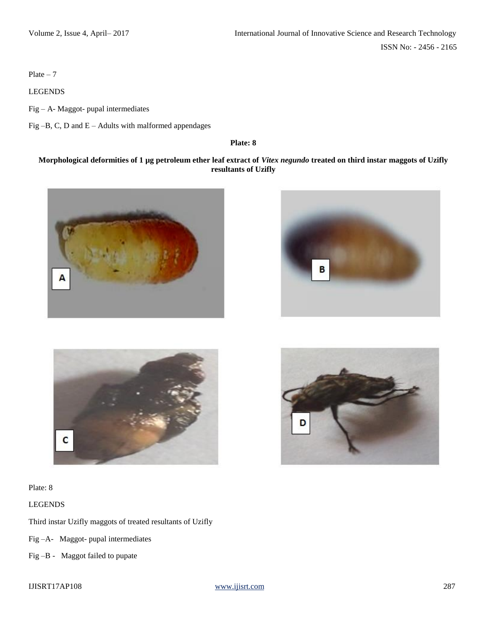Plate  $-7$ 

LEGENDS

Fig – A- Maggot- pupal intermediates

Fig –B, C, D and E – Adults with malformed appendages

**Plate: 8**

# **Morphological deformities of 1 µg petroleum ether leaf extract of** *Vitex negundo* **treated on third instar maggots of Uzifly resultants of Uzifly**







Plate: 8

LEGENDS

Third instar Uzifly maggots of treated resultants of Uzifly

Fig –A- Maggot- pupal intermediates

Fig –B - Maggot failed to pupate

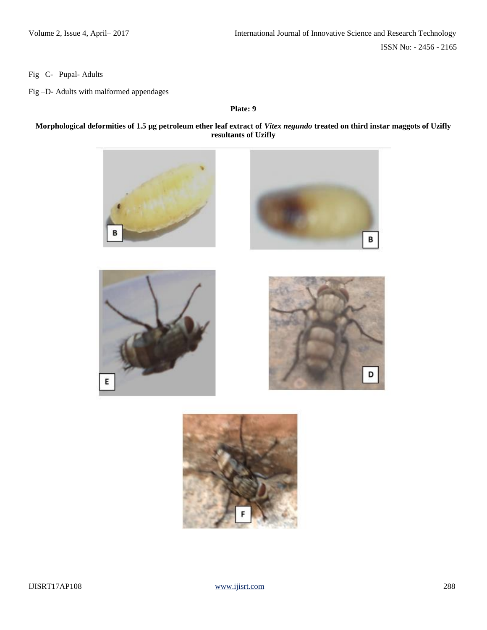Fig –C- Pupal- Adults

Fig –D- Adults with malformed appendages

#### **Plate: 9**

# **Morphological deformities of 1.5 µg petroleum ether leaf extract of** *Vitex negundo* **treated on third instar maggots of Uzifly resultants of Uzifly**



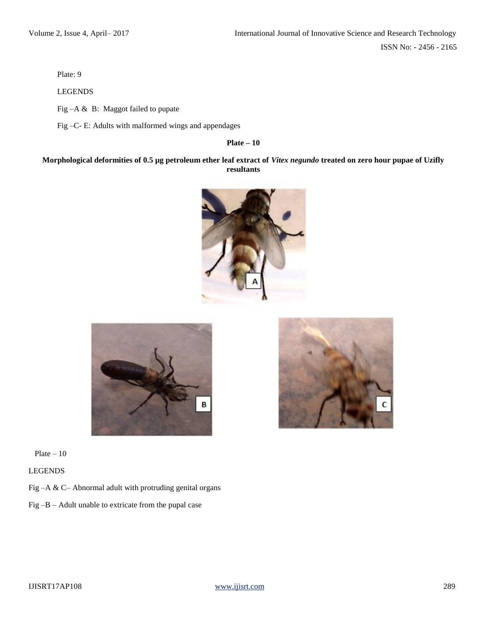Plate: 9

LEGENDS

Fig –A & B: Maggot failed to pupate

Fig –C- E: Adults with malformed wings and appendages

**Plate – 10**

# **Morphological deformities of 0.5 µg petroleum ether leaf extract of** *Vitex negundo* **treated on zero hour pupae of Uzifly resultants**





Plate  $-10$ 

LEGENDS

Fig –A & C– Abnormal adult with protruding genital organs

Fig –B – Adult unable to extricate from the pupal case

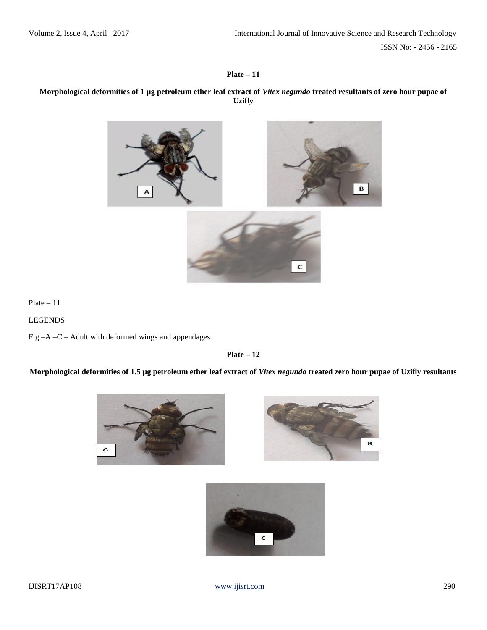**Plate – 11**

# **Morphological deformities of 1 µg petroleum ether leaf extract of** *Vitex negundo* **treated resultants of zero hour pupae of Uzifly**



Plate – 11

LEGENDS

Fig –A –C – Adult with deformed wings and appendages

**Plate – 12**

**Morphological deformities of 1.5 µg petroleum ether leaf extract of** *Vitex negundo* **treated zero hour pupae of Uzifly resultants**





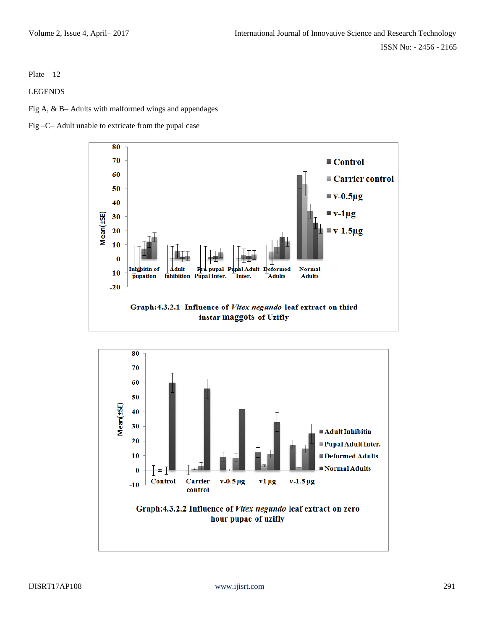Plate  $-12$ 

LEGENDS

Fig A, & B– Adults with malformed wings and appendages





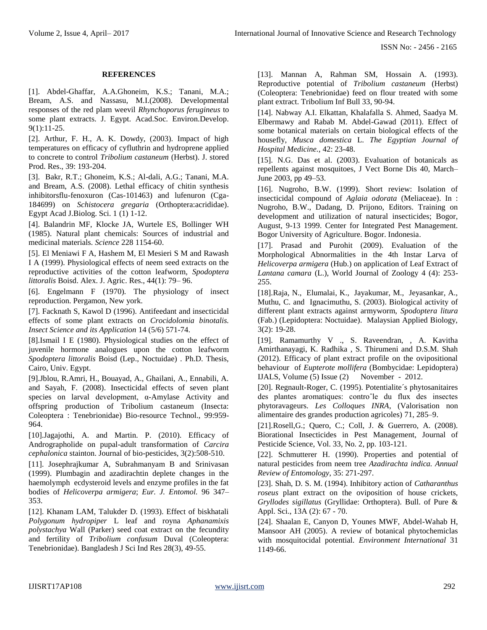## **REFERENCES**

[1]. Abdel-Ghaffar, A.A.Ghoneim, K.S.; Tanani, M.A.; Bream, A.S. and Nassasu, M.I.(2008). Developmental responses of the red plam weevil *Rhynchoporus ferugineus* to some plant extracts. J. Egypt. Acad.Soc. Environ.Develop. 9(1):11-25.

[2]. Arthur, F. H., A. K. Dowdy, (2003). Impact of high temperatures on efficacy of cyfluthrin and hydroprene applied to concrete to control *Tribolium castaneum* (Herbst). J. stored Prod. Res., 39: 193-204.

[3]. Bakr, R.T.; Ghoneim, K.S.; Al-dali, A.G.; Tanani, M.A. and Bream, A.S. (2008). Lethal efficacy of chitin synthesis inhibitorsflu-fenoxuron (Cas-101463) and lufenuron (Cga-184699) on *Schistocera gregaria* (Orthoptera:acrididae). Egypt Acad J.Biolog. Sci. 1 (1) 1-12.

[4]. Balandrin MF, Klocke JA, Wurtele ES, Bollinger WH (1985). Natural plant chemicals: Sources of industrial and medicinal materials. *Science* 228 1154-60.

[5]. El Meniawi F A, Hashem M, El Mesieri S M and Rawash I A (1999). Physiological effects of neem seed extracts on the reproductive activities of the cotton leafworm, *Spodoptera littoralis* Boisd. Alex. J. Agric. Res., 44(1): 79– 96.

[6]. Engelmann F (1970). The physiology of insect reproduction. Pergamon, New york.

[7]. Facknath S, Kawol D (1996). Antifeedant and insecticidal effects of some plant extracts on *Crocidolomia binotalis. Insect Science and its Application* 14 (5/6) 571-74.

[8].Ismail I E (1980). Physiological studies on the effect of juvenile hormone analogues upon the cotton leafworm *Spodoptera littoralis* Boisd (Lep., Noctuidae) . Ph.D. Thesis, Cairo, Univ. Egypt.

[9].Jblou, R.Amri, H., Bouayad, A., Ghailani, A., Ennabili, A. and Sayah, F. (2008). Insecticidal effects of seven plant species on larval development, α-Amylase Activity and offspring production of Tribolium castaneum (Insecta: Coleoptera : Tenebrionidae) Bio-resource Technol., 99:959- 964.

[10].Jagajothi, A. and Martin. P. (2010). Efficacy of Andrographolide on pupal-adult transformation of *Carcira cephalonica* stainton. Journal of bio-pesticides, 3(2):508-510.

[11]. Josephrajkumar A, Subrahmanyam B and Srinivasan (1999). Plumbagin and azadirachtin deplete changes in the haemolymph ecdysteroid levels and enzyme profiles in the fat bodies of *Helicoverpa armigera*; *Eur. J. Entomol.* 96 347– 353.

[12]. Khanam LAM, Talukder D. (1993). Effect of biskhatali *Polygonum hydropiper* L leaf and royna *Aphanamixis polystachya* Wall (Parker) seed coat extract on the fecundity and fertility of *Tribolium confusum* Duval (Coleoptera: Tenebrionidae). Bangladesh J Sci Ind Res 28(3), 49-55.

[13]. Mannan A, Rahman SM, Hossain A. (1993). Reproductive potential of *Tribolium castaneum* (Herbst) (Coleoptera: Tenebrionidae) feed on flour treated with some plant extract. Tribolium Inf Bull 33, 90-94.

[14]. Nabway A.I. Elkattan, Khalafalla S. Ahmed, Saadya M. Elbermawy and Rabab M. Abdel-Gawad (2011). Effect of some botanical materials on certain biological effects of the housefly, *Musca domestica* L. *The Egyptian Journal of Hospital Medicine.,* 42: 23-48.

[15]. N.G. Das et al. (2003). Evaluation of botanicals as repellents against mosquitoes, J Vect Borne Dis 40, March– June 2003, pp 49–53.

[16]. Nugroho, B.W. (1999). Short review: Isolation of insecticidal compound of *Aglaia odorata* (Meliaceae). In : Nugroho, B.W., Dadang, D. Prijono, Editors. Training on development and utilization of natural insecticides; Bogor, August, 9-13 1999. Center for Integrated Pest Management. Bogor University of Agriculture. Bogor. Indonesia.

[17]. Prasad and Purohit (2009). Evaluation of the Morphological Abnormalities in the 4th Instar Larva of *Helicoverpa armigera* (Hub.) on application of Leaf Extract of *Lantana camara* (L.), World Journal of Zoology 4 (4): 253- 255.

[18].Raja, N., Elumalai, K., Jayakumar, M., Jeyasankar, A., Muthu, C. and Ignacimuthu, S. (2003). Biological activity of different plant extracts against armyworm, *Spodoptera litura* (Fab.) (Lepidoptera: Noctuidae). Malaysian Applied Biology, 3(2): 19-28.

[19]. Ramamurthy V ., S. Raveendran, , A. Kavitha Amirthanayagi, K. Radhika , S. Thirumeni and D.S.M. Shah (2012). Efficacy of plant extract profile on the ovipositional behaviour of *Eupterote mollifera* (Bombycidae: Lepidoptera) IJALS, Volume (5) Issue (2) November - 2012.

[20]. Regnault-Roger, C. (1995). Potentialite´s phytosanitaires des plantes aromatiques: controˆle du flux des insectes phytoravageurs. *Les Colloques INRA*, (Valorisation non alimentaire des grandes production agricoles) 71, 285–9.

[21].Rosell,G.; Quero, C.; Coll, J. & Guerrero, A. (2008). Biorational Insecticides in Pest Management, Journal of Pesticide Science, Vol. 33, No. 2, pp. 103-121.

[22]. Schmutterer H. (1990). Properties and potential of natural pesticides from neem tree *Azadirachta indica. Annual Review of Entomology*, 35: 271-297.

[23]. Shah, D. S. M. (1994). Inhibitory action of *Catharanthus roseus* plant extract on the oviposition of house crickets, *Gryllodes sigillatus* (Gryllidae: Orthoptera). Bull. of Pure & Appl. Sci., 13A (2): 67 - 70.

[24]. Shaalan E, Canyon D, Younes MWF, Abdel-Wahab H, Mansoor AH (2005). A review of botanical phytochemiclas with mosquitocidal potential. *Environment International* 31 1149-66.